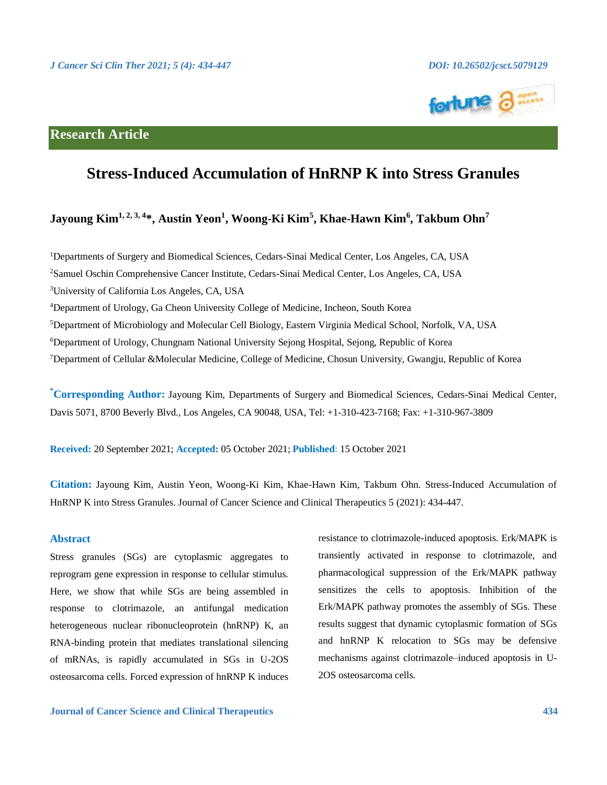

## **Research Article**

# **Stress-Induced Accumulation of HnRNP K into Stress Granules**

## **Jayoung Kim1, 2, 3, 4\*, Austin Yeon<sup>1</sup> , Woong-Ki Kim<sup>5</sup> , Khae-Hawn Kim<sup>6</sup> , Takbum Ohn<sup>7</sup>**

Departments of Surgery and Biomedical Sciences, Cedars-Sinai Medical Center, Los Angeles, CA, USA Samuel Oschin Comprehensive Cancer Institute, Cedars-Sinai Medical Center, Los Angeles, CA, USA University of California Los Angeles, CA, USA Department of Urology, Ga Cheon University College of Medicine, Incheon, South Korea Department of Microbiology and Molecular Cell Biology, Eastern Virginia Medical School, Norfolk, VA, USA Department of Urology, Chungnam National University Sejong Hospital, Sejong, Republic of Korea Department of Cellular &Molecular Medicine, College of Medicine, Chosun University, Gwangju, Republic of Korea

**\*Corresponding Author:** Jayoung Kim, Departments of Surgery and Biomedical Sciences, Cedars-Sinai Medical Center, Davis 5071, 8700 Beverly Blvd., Los Angeles, CA 90048, USA, Tel: +1-310-423-7168; Fax: +1-310-967-3809

**Received:** 20 September 2021; **Accepted:** 05 October 2021; **Published**: 15 October 2021

**Citation:** Jayoung Kim, Austin Yeon, Woong-Ki Kim, Khae-Hawn Kim, Takbum Ohn. Stress-Induced Accumulation of HnRNP K into Stress Granules. Journal of Cancer Science and Clinical Therapeutics 5 (2021): 434-447.

## **Abstract**

Stress granules (SGs) are cytoplasmic aggregates to reprogram gene expression in response to cellular stimulus. Here, we show that while SGs are being assembled in response to clotrimazole, an antifungal medication heterogeneous nuclear ribonucleoprotein (hnRNP) K, an RNA-binding protein that mediates translational silencing of mRNAs, is rapidly accumulated in SGs in U-2OS osteosarcoma cells. Forced expression of hnRNP K induces transiently activated in response to clotrimazole, and pharmacological suppression of the Erk/MAPK pathway sensitizes the cells to apoptosis. Inhibition of the Erk/MAPK pathway promotes the assembly of SGs. These results suggest that dynamic cytoplasmic formation of SGs and hnRNP K relocation to SGs may be defensive mechanisms against clotrimazole–induced apoptosis in U-2OS osteosarcoma cells.

resistance to clotrimazole-induced apoptosis. Erk/MAPK is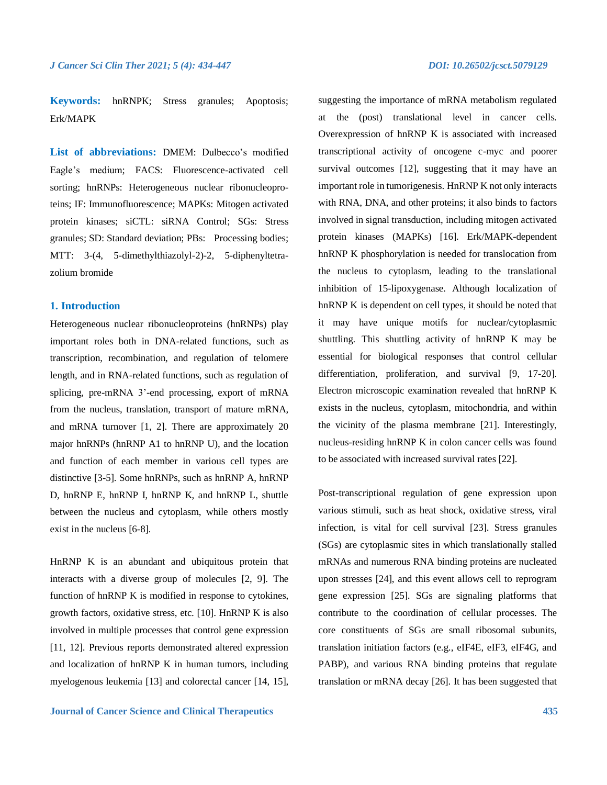**Keywords:** hnRNPK; Stress granules; Apoptosis; Erk/MAPK

**List of abbreviations:** DMEM: Dulbecco's modified Eagle's medium; FACS: Fluorescence-activated cell sorting; hnRNPs: Heterogeneous nuclear ribonucleoproteins; IF: Immunofluorescence; MAPKs: Mitogen activated protein kinases; siCTL: siRNA Control; SGs: Stress granules; SD: Standard deviation; PBs: Processing bodies; MTT: 3-(4, 5-dimethylthiazolyl-2)-2, 5-diphenyltetrazolium bromide

## **1. Introduction**

Heterogeneous nuclear ribonucleoproteins (hnRNPs) play important roles both in DNA-related functions, such as transcription, recombination, and regulation of telomere length, and in RNA-related functions, such as regulation of splicing, pre-mRNA 3'-end processing, export of mRNA from the nucleus, translation, transport of mature mRNA, and mRNA turnover [1, 2]. There are approximately 20 major hnRNPs (hnRNP A1 to hnRNP U), and the location and function of each member in various cell types are distinctive [3-5]. Some hnRNPs, such as hnRNP A, hnRNP D, hnRNP E, hnRNP I, hnRNP K, and hnRNP L, shuttle between the nucleus and cytoplasm, while others mostly exist in the nucleus [6-8].

HnRNP K is an abundant and ubiquitous protein that interacts with a diverse group of molecules [2, 9]. The function of hnRNP K is modified in response to cytokines, growth factors, oxidative stress, etc. [10]. HnRNP K is also involved in multiple processes that control gene expression [11, 12]. Previous reports demonstrated altered expression and localization of hnRNP K in human tumors, including myelogenous leukemia [13] and colorectal cancer [14, 15], suggesting the importance of mRNA metabolism regulated at the (post) translational level in cancer cells. Overexpression of hnRNP K is associated with increased transcriptional activity of oncogene c-myc and poorer survival outcomes [12], suggesting that it may have an important role in tumorigenesis. HnRNP K not only interacts with RNA, DNA, and other proteins; it also binds to factors involved in signal transduction, including mitogen activated protein kinases (MAPKs) [16]. Erk/MAPK-dependent hnRNP K phosphorylation is needed for translocation from the nucleus to cytoplasm, leading to the translational inhibition of 15-lipoxygenase. Although localization of hnRNP K is dependent on cell types, it should be noted that it may have unique motifs for nuclear/cytoplasmic shuttling. This shuttling activity of hnRNP K may be essential for biological responses that control cellular differentiation, proliferation, and survival [9, 17-20]. Electron microscopic examination revealed that hnRNP K exists in the nucleus, cytoplasm, mitochondria, and within the vicinity of the plasma membrane [21]. Interestingly, nucleus-residing hnRNP K in colon cancer cells was found to be associated with increased survival rates [22].

Post-transcriptional regulation of gene expression upon various stimuli, such as heat shock, oxidative stress, viral infection, is vital for cell survival [23]. Stress granules (SGs) are cytoplasmic sites in which translationally stalled mRNAs and numerous RNA binding proteins are nucleated upon stresses [24], and this event allows cell to reprogram gene expression [25]. SGs are signaling platforms that contribute to the coordination of cellular processes. The core constituents of SGs are small ribosomal subunits, translation initiation factors (e.g., eIF4E, eIF3, eIF4G, and PABP), and various RNA binding proteins that regulate translation or mRNA decay [26]. It has been suggested that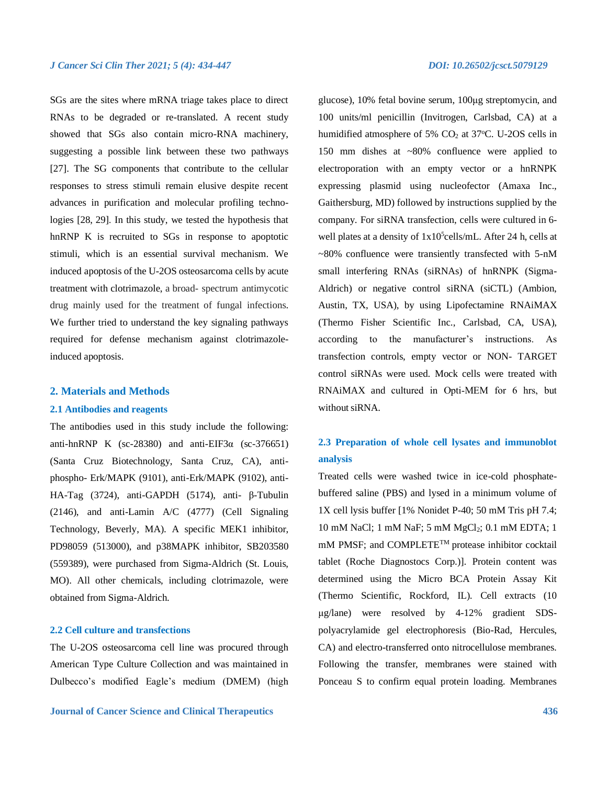SGs are the sites where mRNA triage takes place to direct RNAs to be degraded or re-translated. A recent study showed that SGs also contain micro-RNA machinery, suggesting a possible link between these two pathways [27]. The SG components that contribute to the cellular responses to stress stimuli remain elusive despite recent advances in purification and molecular profiling technologies [28, 29]. In this study, we tested the hypothesis that hnRNP K is recruited to SGs in response to apoptotic stimuli, which is an essential survival mechanism. We induced apoptosis of the U-2OS osteosarcoma cells by acute treatment with clotrimazole, a broad- spectrum antimycotic drug mainly used for the treatment of fungal infections. We further tried to understand the key signaling pathways required for defense mechanism against clotrimazoleinduced apoptosis.

#### **2. Materials and Methods**

#### **2.1 Antibodies and reagents**

The antibodies used in this study include the following: anti-hnRNP K (sc-28380) and anti-EIF3 $\alpha$  (sc-376651) (Santa Cruz Biotechnology, Santa Cruz, CA), antiphospho- Erk/MAPK (9101), anti-Erk/MAPK (9102), anti-HA-Tag (3724), anti-GAPDH (5174), anti- β-Tubulin (2146), and anti-Lamin A/C (4777) (Cell Signaling Technology, Beverly, MA). A specific MEK1 inhibitor, PD98059 (513000), and p38MAPK inhibitor, SB203580 [\(559389\)](https://www.sigmaaldrich.com/US/en/product/mm/559389?context=product), were purchased from Sigma-Aldrich (St. Louis, MO). All other chemicals, including clotrimazole, were obtained from Sigma-Aldrich.

## **2.2 Cell culture and transfections**

The U-2OS osteosarcoma cell line was procured through American Type Culture Collection and was maintained in Dulbecco's modified Eagle's medium (DMEM) (high

glucose), 10% fetal bovine serum, 100μg streptomycin, and 100 units/ml penicillin (Invitrogen, Carlsbad, CA) at a humidified atmosphere of 5%  $CO<sub>2</sub>$  at 37°C. U-2OS cells in 150 mm dishes at ~80% confluence were applied to electroporation with an empty vector or a hnRNPK expressing plasmid using nucleofector (Amaxa Inc., Gaithersburg, MD) followed by instructions supplied by the company. For siRNA transfection, cells were cultured in 6 well plates at a density of  $1x10^5$ cells/mL. After 24 h, cells at ~80% confluence were transiently transfected with 5-nM small interfering RNAs (siRNAs) of hnRNPK (Sigma-Aldrich) or negative control siRNA (siCTL) (Ambion, Austin, TX, USA), by using Lipofectamine RNAiMAX (Thermo Fisher Scientific Inc., Carlsbad, CA, USA), according to the manufacturer's instructions. As transfection controls, empty vector or NON- TARGET control siRNAs were used. Mock cells were treated with RNAiMAX and cultured in Opti‐MEM for 6 hrs, but without siRNA.

## **2.3 Preparation of whole cell lysates and immunoblot analysis**

Treated cells were washed twice in ice-cold phosphatebuffered saline (PBS) and lysed in a minimum volume of 1X cell lysis buffer [1% Nonidet P-40; 50 mM Tris pH 7.4; 10 mM NaCl; 1 mM NaF; 5 mM MgCl<sub>2</sub>; 0.1 mM EDTA; 1 mM PMSF; and COMPLETETM protease inhibitor cocktail tablet (Roche Diagnostocs Corp.)]. Protein content was determined using the Micro BCA Protein Assay Kit (Thermo Scientific, Rockford, IL). Cell extracts (10 μg/lane) were resolved by 4-12% gradient SDSpolyacrylamide gel electrophoresis (Bio-Rad, Hercules, CA) and electro-transferred onto nitrocellulose membranes. Following the transfer, membranes were stained with Ponceau S to confirm equal protein loading. Membranes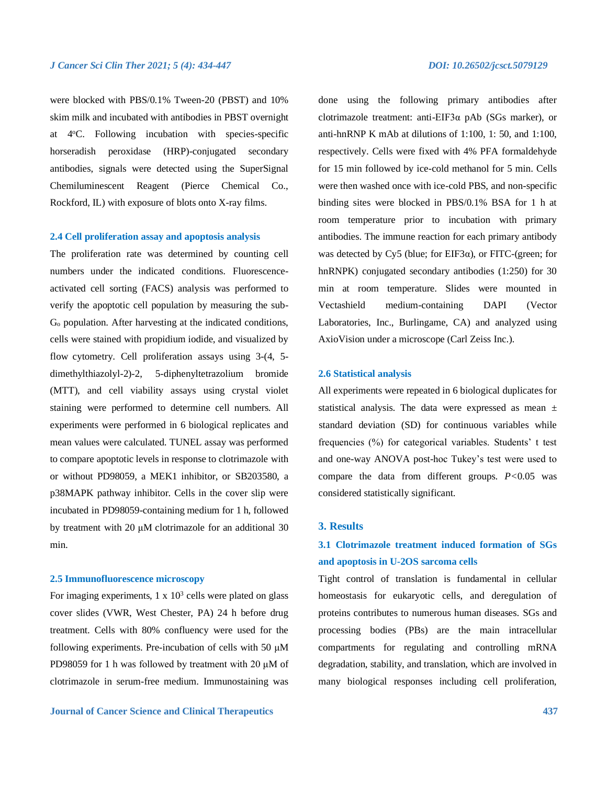were blocked with PBS/0.1% Tween-20 (PBST) and 10% skim milk and incubated with antibodies in PBST overnight at 4°C. Following incubation with species-specific horseradish peroxidase (HRP)-conjugated secondary antibodies, signals were detected using the SuperSignal Chemiluminescent Reagent (Pierce Chemical Co., Rockford, IL) with exposure of blots onto X-ray films.

## **2.4 Cell proliferation assay and apoptosis analysis**

The proliferation rate was determined by counting cell numbers under the indicated conditions. Fluorescenceactivated cell sorting (FACS) analysis was performed to verify the apoptotic cell population by measuring the sub-G<sup>o</sup> population. After harvesting at the indicated conditions, cells were stained with propidium iodide, and visualized by flow cytometry. Cell proliferation assays using 3-(4, 5 dimethylthiazolyl-2)-2, 5-diphenyltetrazolium bromide (MTT), and cell viability assays using crystal violet staining were performed to determine cell numbers. All experiments were performed in 6 biological replicates and mean values were calculated. TUNEL assay was performed to compare apoptotic levels in response to clotrimazole with or without PD98059, a MEK1 inhibitor, or SB203580, a p38MAPK pathway inhibitor. Cells in the cover slip were incubated in PD98059-containing medium for 1 h, followed by treatment with 20 μM clotrimazole for an additional 30 min.

## **2.5 Immunofluorescence microscopy**

For imaging experiments,  $1 \times 10^3$  cells were plated on glass cover slides (VWR, West Chester, PA) 24 h before drug treatment. Cells with 80% confluency were used for the following experiments. Pre-incubation of cells with 50 μM PD98059 for 1 h was followed by treatment with 20 μM of clotrimazole in serum-free medium. Immunostaining was

done using the following primary antibodies after clotrimazole treatment: anti-EIF3α pAb (SGs marker), or anti-hnRNP K mAb at dilutions of 1:100, 1: 50, and 1:100, respectively. Cells were fixed with 4% PFA formaldehyde for 15 min followed by ice-cold methanol for 5 min. Cells were then washed once with ice-cold PBS, and non-specific binding sites were blocked in PBS/0.1% BSA for 1 h at room temperature prior to incubation with primary antibodies. The immune reaction for each primary antibody was detected by Cy5 (blue; for EIF3 $\alpha$ ), or FITC-(green; for hnRNPK) conjugated secondary antibodies (1:250) for 30 min at room temperature. Slides were mounted in Vectashield medium-containing DAPI (Vector Laboratories, Inc., Burlingame, CA) and analyzed using AxioVision under a microscope (Carl Zeiss Inc.).

### **2.6 Statistical analysis**

All experiments were repeated in 6 biological duplicates for statistical analysis. The data were expressed as mean ± standard deviation (SD) for continuous variables while frequencies (%) for categorical variables. Students' t test and one-way ANOVA post-hoc Tukey's test were used to compare the data from different groups.  $P < 0.05$  was considered statistically significant.

### **3. Results**

## **3.1 Clotrimazole treatment induced formation of SGs and apoptosis in U-2OS sarcoma cells**

Tight control of translation is fundamental in cellular homeostasis for eukaryotic cells, and deregulation of proteins contributes to numerous human diseases. SGs and processing bodies (PBs) are the main intracellular compartments for regulating and controlling mRNA degradation, stability, and translation, which are involved in many biological responses including cell proliferation,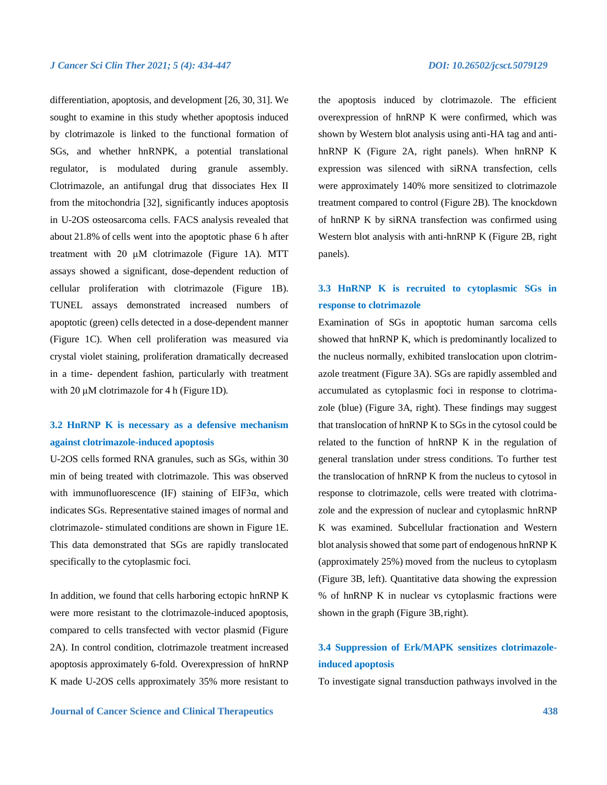differentiation, apoptosis, and development [26, 30, 31]. We sought to examine in this study whether apoptosis induced by clotrimazole is linked to the functional formation of SGs, and whether hnRNPK, a potential translational regulator, is modulated during granule assembly. Clotrimazole, an antifungal drug that dissociates Hex II from the mitochondria [32], significantly induces apoptosis in U-2OS osteosarcoma cells. FACS analysis revealed that about 21.8% of cells went into the apoptotic phase 6 h after treatment with  $20 \mu M$  clotrimazole (Figure 1A). MTT assays showed a significant, dose-dependent reduction of cellular proliferation with clotrimazole (Figure 1B). TUNEL assays demonstrated increased numbers of apoptotic (green) cells detected in a dose-dependent manner (Figure 1C). When cell proliferation was measured via crystal violet staining, proliferation dramatically decreased in a time- dependent fashion, particularly with treatment with 20 μM clotrimazole for 4 h (Figure 1D).

## **3.2 HnRNP K is necessary as a defensive mechanism against clotrimazole-induced apoptosis**

U-2OS cells formed RNA granules, such as SGs, within 30 min of being treated with clotrimazole. This was observed with immunofluorescence (IF) staining of EIF3 $\alpha$ , which indicates SGs. Representative stained images of normal and clotrimazole- stimulated conditions are shown in Figure 1E. This data demonstrated that SGs are rapidly translocated specifically to the cytoplasmic foci.

In addition, we found that cells harboring ectopic hnRNP K were more resistant to the clotrimazole-induced apoptosis, compared to cells transfected with vector plasmid (Figure 2A). In control condition, clotrimazole treatment increased apoptosis approximately 6-fold. Overexpression of hnRNP K made U-2OS cells approximately 35% more resistant to the apoptosis induced by clotrimazole. The efficient overexpression of hnRNP K were confirmed, which was shown by Western blot analysis using anti-HA tag and antihnRNP K (Figure 2A, right panels). When hnRNP K expression was silenced with siRNA transfection, cells were approximately 140% more sensitized to clotrimazole treatment compared to control (Figure 2B). The knockdown of hnRNP K by siRNA transfection was confirmed using Western blot analysis with anti-hnRNP K (Figure 2B, right panels).

## **3.3 HnRNP K is recruited to cytoplasmic SGs in response to clotrimazole**

Examination of SGs in apoptotic human sarcoma cells showed that hnRNP K, which is predominantly localized to the nucleus normally, exhibited translocation upon clotrimazole treatment (Figure 3A). SGs are rapidly assembled and accumulated as cytoplasmic foci in response to clotrimazole (blue) (Figure 3A, right). These findings may suggest that translocation of hnRNP K to SGs in the cytosol could be related to the function of hnRNP K in the regulation of general translation under stress conditions. To further test the translocation of hnRNP K from the nucleus to cytosol in response to clotrimazole, cells were treated with clotrimazole and the expression of nuclear and cytoplasmic hnRNP K was examined. Subcellular fractionation and Western blot analysis showed that some part of endogenous hnRNP K (approximately 25%) moved from the nucleus to cytoplasm (Figure 3B, left). Quantitative data showing the expression % of hnRNP K in nuclear vs cytoplasmic fractions were shown in the graph (Figure 3B, right).

## **3.4 Suppression of Erk/MAPK sensitizes clotrimazoleinduced apoptosis**

To investigate signal transduction pathways involved in the

### **Journal of Cancer Science and Clinical Therapeutics 438**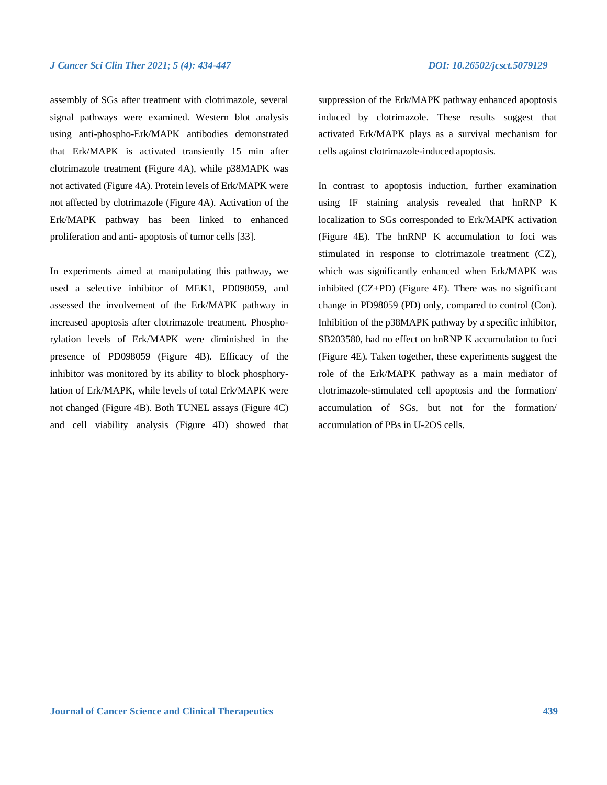assembly of SGs after treatment with clotrimazole, several signal pathways were examined. Western blot analysis using anti-phospho-Erk/MAPK antibodies demonstrated that Erk/MAPK is activated transiently 15 min after clotrimazole treatment (Figure 4A), while p38MAPK was not activated (Figure 4A). Protein levels of Erk/MAPK were not affected by clotrimazole (Figure 4A). Activation of the Erk/MAPK pathway has been linked to enhanced

proliferation and anti- apoptosis of tumor cells [33].

In experiments aimed at manipulating this pathway, we used a selective inhibitor of MEK1, PD098059, and assessed the involvement of the Erk/MAPK pathway in increased apoptosis after clotrimazole treatment. Phosphorylation levels of Erk/MAPK were diminished in the presence of PD098059 (Figure 4B). Efficacy of the inhibitor was monitored by its ability to block phosphorylation of Erk/MAPK, while levels of total Erk/MAPK were not changed (Figure 4B). Both TUNEL assays (Figure 4C) and cell viability analysis (Figure 4D) showed that

suppression of the Erk/MAPK pathway enhanced apoptosis induced by clotrimazole. These results suggest that activated Erk/MAPK plays as a survival mechanism for cells against clotrimazole-induced apoptosis.

In contrast to apoptosis induction, further examination using IF staining analysis revealed that hnRNP K localization to SGs corresponded to Erk/MAPK activation (Figure 4E). The hnRNP K accumulation to foci was stimulated in response to clotrimazole treatment (CZ), which was significantly enhanced when Erk/MAPK was inhibited (CZ+PD) (Figure 4E). There was no significant change in PD98059 (PD) only, compared to control (Con). Inhibition of the p38MAPK pathway by a specific inhibitor, SB203580, had no effect on hnRNP K accumulation to foci (Figure 4E). Taken together, these experiments suggest the role of the Erk/MAPK pathway as a main mediator of clotrimazole-stimulated cell apoptosis and the formation/ accumulation of SGs, but not for the formation/ accumulation of PBs in U-2OS cells.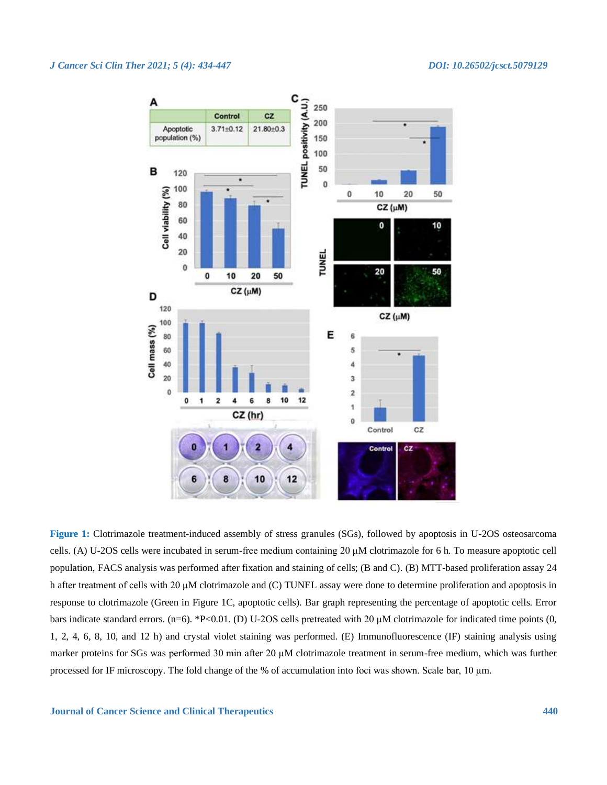

**Figure 1:** Clotrimazole treatment-induced assembly of stress granules (SGs), followed by apoptosis in U-2OS osteosarcoma cells. (A) U-2OS cells were incubated in serum-free medium containing 20 μM clotrimazole for 6 h. To measure apoptotic cell population, FACS analysis was performed after fixation and staining of cells; (B and C). (B) MTT-based proliferation assay 24 h after treatment of cells with 20 μM clotrimazole and (C) TUNEL assay were done to determine proliferation and apoptosis in response to clotrimazole (Green in Figure 1C, apoptotic cells). Bar graph representing the percentage of apoptotic cells. Error bars indicate standard errors. (n=6). \*P<0.01. (D) U-2OS cells pretreated with 20  $\mu$ M clotrimazole for indicated time points (0, 1, 2, 4, 6, 8, 10, and 12 h) and crystal violet staining was performed. (E) Immunofluorescence (IF) staining analysis using marker proteins for SGs was performed 30 min after 20 μM clotrimazole treatment in serum-free medium, which was further processed for IF microscopy. The fold change of the % of accumulation into foci was shown. Scale bar, 10 μm.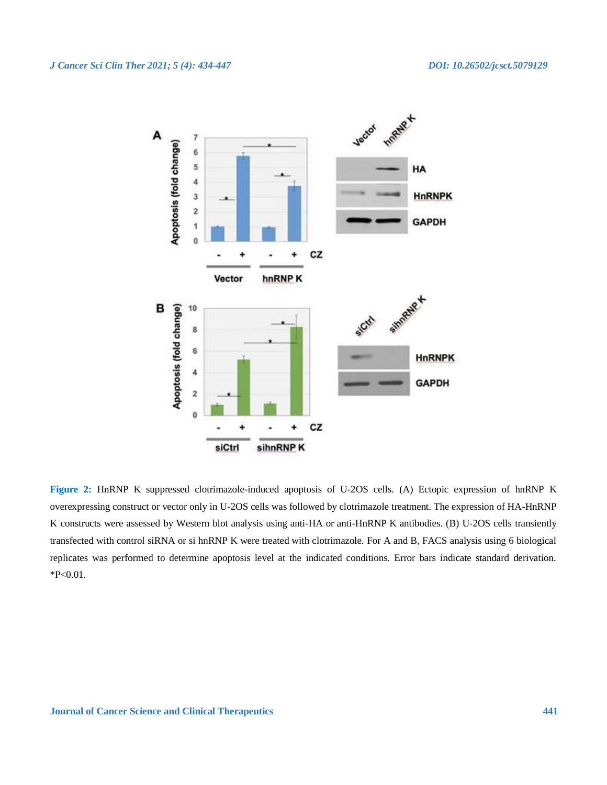

**Figure 2:** HnRNP K suppressed clotrimazole-induced apoptosis of U-2OS cells. (A) Ectopic expression of hnRNP K overexpressing construct or vector only in U-2OS cells was followed by clotrimazole treatment. The expression of HA-HnRNP K constructs were assessed by Western blot analysis using anti-HA or anti-HnRNP K antibodies. (B) U-2OS cells transiently transfected with control siRNA or si hnRNP K were treated with clotrimazole. For A and B, FACS analysis using 6 biological replicates was performed to determine apoptosis level at the indicated conditions. Error bars indicate standard derivation. \*P<0.01.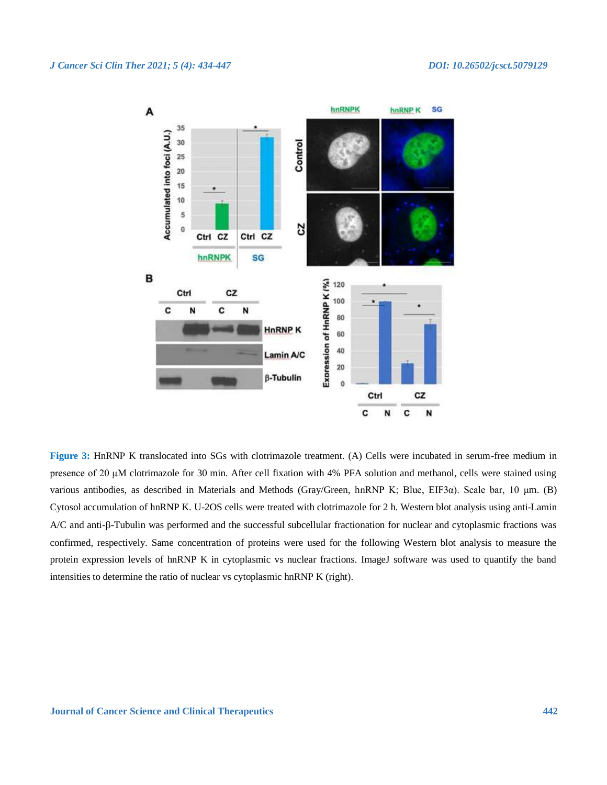

**Figure 3:** HnRNP K translocated into SGs with clotrimazole treatment. (A) Cells were incubated in serum-free medium in presence of 20 μM clotrimazole for 30 min. After cell fixation with 4% PFA solution and methanol, cells were stained using various antibodies, as described in Materials and Methods (Gray/Green, hnRNP K; Blue, EIF3α). Scale bar, 10 μm. (B) Cytosol accumulation of hnRNP K. U-2OS cells were treated with clotrimazole for 2 h. Western blot analysis using anti-Lamin  $A/C$  and anti- $\beta$ -Tubulin was performed and the successful subcellular fractionation for nuclear and cytoplasmic fractions was confirmed, respectively. Same concentration of proteins were used for the following Western blot analysis to measure the protein expression levels of hnRNP K in cytoplasmic vs nuclear fractions. ImageJ software was used to quantify the band intensities to determine the ratio of nuclear vs cytoplasmic hnRNP K (right).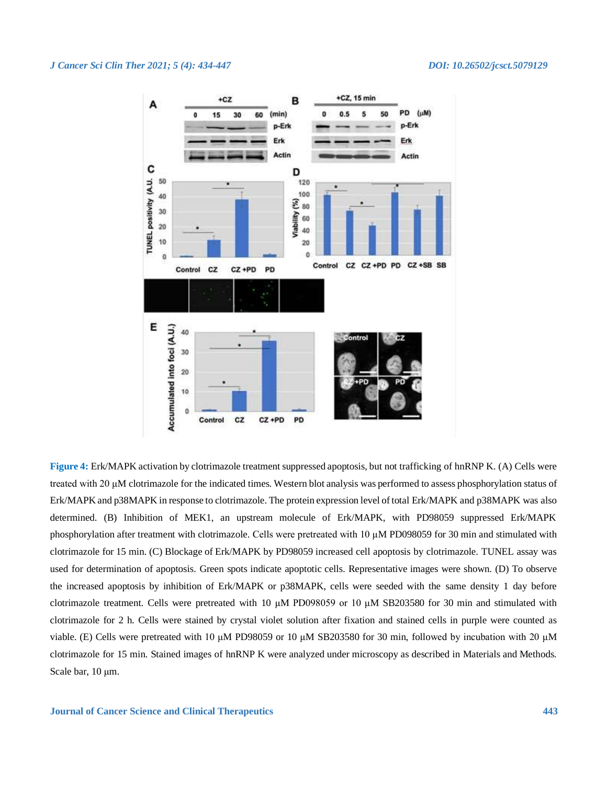

**Figure 4:** Erk/MAPK activation by clotrimazole treatment suppressed apoptosis, but not trafficking of hnRNP K. (A) Cells were treated with 20 μM clotrimazole for the indicated times. Western blot analysis was performed to assess phosphorylation status of Erk/MAPK and p38MAPK in response to clotrimazole. The protein expression level of total Erk/MAPK and p38MAPK was also determined. (B) Inhibition of MEK1, an upstream molecule of Erk/MAPK, with PD98059 suppressed Erk/MAPK phosphorylation after treatment with clotrimazole. Cells were pretreated with 10 μM PD098059 for 30 min and stimulated with clotrimazole for 15 min. (C) Blockage of Erk/MAPK by PD98059 increased cell apoptosis by clotrimazole. TUNEL assay was used for determination of apoptosis. Green spots indicate apoptotic cells. Representative images were shown. (D) To observe the increased apoptosis by inhibition of Erk/MAPK or p38MAPK, cells were seeded with the same density 1 day before clotrimazole treatment. Cells were pretreated with 10 μM PD098059 or 10 μM SB203580 for 30 min and stimulated with clotrimazole for 2 h. Cells were stained by crystal violet solution after fixation and stained cells in purple were counted as viable. (E) Cells were pretreated with 10 μM PD98059 or 10 μM SB203580 for 30 min, followed by incubation with 20 μM clotrimazole for 15 min. Stained images of hnRNP K were analyzed under microscopy as described in Materials and Methods. Scale bar, 10 μm.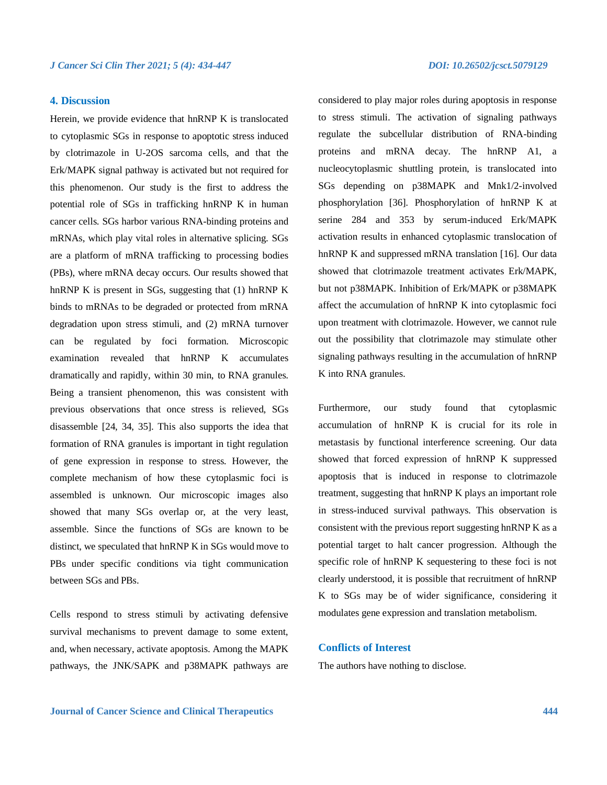## **4. Discussion**

Herein, we provide evidence that hnRNP K is translocated to cytoplasmic SGs in response to apoptotic stress induced by clotrimazole in U-2OS sarcoma cells, and that the Erk/MAPK signal pathway is activated but not required for this phenomenon. Our study is the first to address the potential role of SGs in trafficking hnRNP K in human cancer cells. SGs harbor various RNA-binding proteins and mRNAs, which play vital roles in alternative splicing. SGs are a platform of mRNA trafficking to processing bodies (PBs), where mRNA decay occurs. Our results showed that hnRNP K is present in SGs, suggesting that (1) hnRNP K binds to mRNAs to be degraded or protected from mRNA degradation upon stress stimuli, and (2) mRNA turnover can be regulated by foci formation. Microscopic examination revealed that hnRNP K accumulates dramatically and rapidly, within 30 min, to RNA granules. Being a transient phenomenon, this was consistent with previous observations that once stress is relieved, SGs disassemble [24, 34, 35]. This also supports the idea that formation of RNA granules is important in tight regulation of gene expression in response to stress. However, the complete mechanism of how these cytoplasmic foci is assembled is unknown. Our microscopic images also showed that many SGs overlap or, at the very least, assemble. Since the functions of SGs are known to be distinct, we speculated that hnRNP K in SGs would move to PBs under specific conditions via tight communication between SGs and PBs.

Cells respond to stress stimuli by activating defensive survival mechanisms to prevent damage to some extent, and, when necessary, activate apoptosis. Among the MAPK pathways, the JNK/SAPK and p38MAPK pathways are considered to play major roles during apoptosis in response to stress stimuli. The activation of signaling pathways regulate the subcellular distribution of RNA-binding proteins and mRNA decay. The hnRNP A1, a nucleocytoplasmic shuttling protein, is translocated into SGs depending on p38MAPK and Mnk1/2-involved phosphorylation [36]. Phosphorylation of hnRNP K at serine 284 and 353 by serum-induced Erk/MAPK activation results in enhanced cytoplasmic translocation of hnRNP K and suppressed mRNA translation [16]. Our data showed that clotrimazole treatment activates Erk/MAPK, but not p38MAPK. Inhibition of Erk/MAPK or p38MAPK affect the accumulation of hnRNP K into cytoplasmic foci upon treatment with clotrimazole. However, we cannot rule out the possibility that clotrimazole may stimulate other signaling pathways resulting in the accumulation of hnRNP K into RNA granules.

Furthermore, our study found that cytoplasmic accumulation of hnRNP K is crucial for its role in metastasis by functional interference screening. Our data showed that forced expression of hnRNP K suppressed apoptosis that is induced in response to clotrimazole treatment, suggesting that hnRNP K plays an important role in stress-induced survival pathways. This observation is consistent with the previous report suggesting hnRNP K as a potential target to halt cancer progression. Although the specific role of hnRNP K sequestering to these foci is not clearly understood, it is possible that recruitment of hnRNP K to SGs may be of wider significance, considering it modulates gene expression and translation metabolism.

## **Conflicts of Interest**

The authors have nothing to disclose.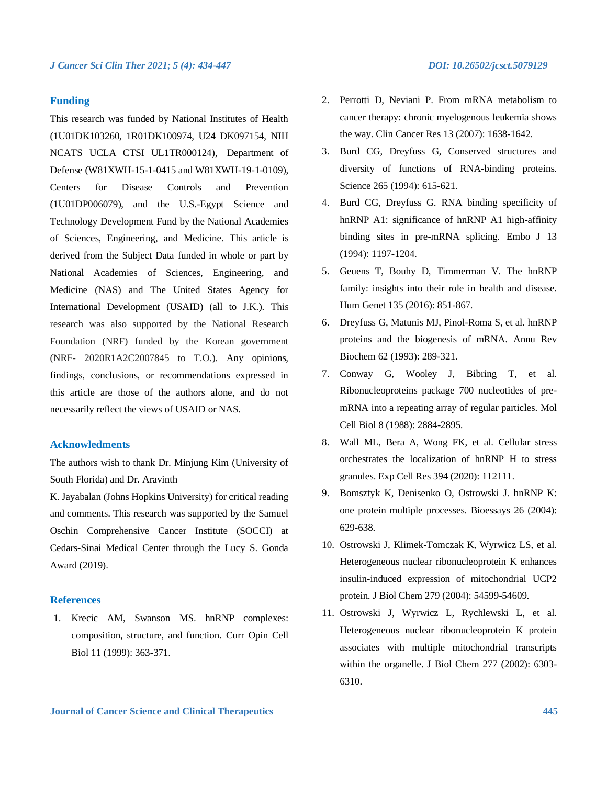## **Funding**

This research was funded by National Institutes of Health (1U01DK103260, 1R01DK100974, U24 DK097154, NIH NCATS UCLA CTSI UL1TR000124), Department of Defense (W81XWH-15-1-0415 and W81XWH-19-1-0109), Centers for Disease Controls and Prevention (1U01DP006079), and the U.S.-Egypt Science and Technology Development Fund by the National Academies of Sciences, Engineering, and Medicine. This article is derived from the Subject Data funded in whole or part by National Academies of Sciences, Engineering, and Medicine (NAS) and The United States Agency for International Development (USAID) (all to J.K.). This research was also supported by the National Research Foundation (NRF) funded by the Korean government (NRF- 2020R1A2C2007845 to T.O.). Any opinions, findings, conclusions, or recommendations expressed in this article are those of the authors alone, and do not necessarily reflect the views of USAID or NAS.

## **Acknowledments**

The authors wish to thank Dr. Minjung Kim (University of South Florida) and Dr. Aravinth

K. Jayabalan (Johns Hopkins University) for critical reading and comments. This research was supported by the Samuel Oschin Comprehensive Cancer Institute (SOCCI) at Cedars-Sinai Medical Center through the Lucy S. Gonda Award (2019).

## **References**

1. Krecic AM, Swanson MS. hnRNP complexes: composition, structure, and function. Curr Opin Cell Biol 11 (1999): 363-371.

- 2. Perrotti D, Neviani P. From mRNA metabolism to cancer therapy: chronic myelogenous leukemia shows the way. Clin Cancer Res 13 (2007): 1638-1642.
- 3. Burd CG, Dreyfuss G, Conserved structures and diversity of functions of RNA-binding proteins. Science 265 (1994): 615-621.
- 4. Burd CG, Dreyfuss G. RNA binding specificity of hnRNP A1: significance of hnRNP A1 high-affinity binding sites in pre-mRNA splicing. Embo J 13 (1994): 1197-1204.
- 5. Geuens T, Bouhy D, Timmerman V. The hnRNP family: insights into their role in health and disease. Hum Genet 135 (2016): 851-867.
- 6. Dreyfuss G, Matunis MJ, Pinol-Roma S, et al. hnRNP proteins and the biogenesis of mRNA. Annu Rev Biochem 62 (1993): 289-321.
- 7. Conway G, Wooley J, Bibring T, et al. Ribonucleoproteins package 700 nucleotides of premRNA into a repeating array of regular particles. Mol Cell Biol 8 (1988): 2884-2895.
- 8. Wall ML, Bera A, Wong FK, et al. Cellular stress orchestrates the localization of hnRNP H to stress granules. Exp Cell Res 394 (2020): 112111.
- 9. Bomsztyk K, Denisenko O, Ostrowski J. hnRNP K: one protein multiple processes. Bioessays 26 (2004): 629-638.
- 10. Ostrowski J, Klimek-Tomczak K, Wyrwicz LS, et al. Heterogeneous nuclear ribonucleoprotein K enhances insulin-induced expression of mitochondrial UCP2 protein. J Biol Chem 279 (2004): 54599-54609.
- 11. Ostrowski J, Wyrwicz L, Rychlewski L, et al. Heterogeneous nuclear ribonucleoprotein K protein associates with multiple mitochondrial transcripts within the organelle. J Biol Chem 277 (2002): 6303- 6310.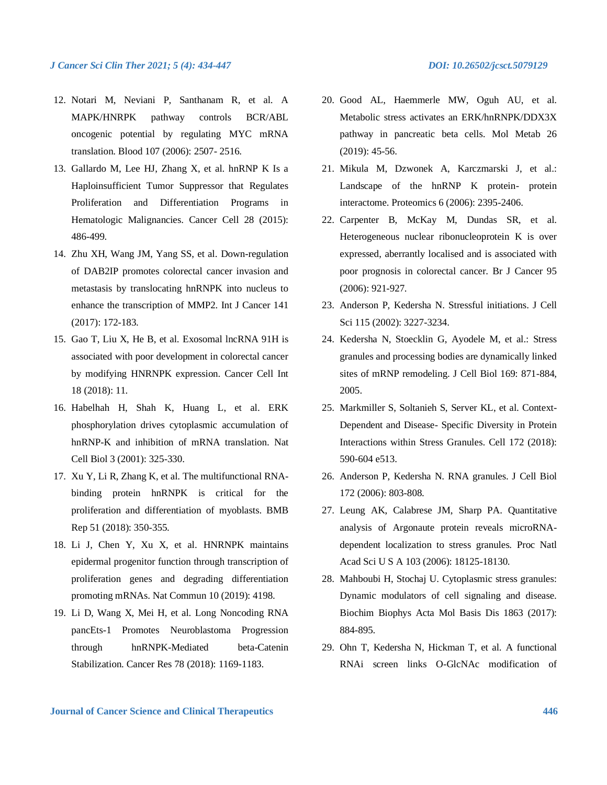- 12. Notari M, Neviani P, Santhanam R, et al. A MAPK/HNRPK pathway controls BCR/ABL oncogenic potential by regulating MYC mRNA translation. Blood 107 (2006): 2507- 2516.
- 13. Gallardo M, Lee HJ, Zhang X, et al. hnRNP K Is a Haploinsufficient Tumor Suppressor that Regulates Proliferation and Differentiation Programs in Hematologic Malignancies. Cancer Cell 28 (2015): 486-499.
- 14. Zhu XH, Wang JM, Yang SS, et al. Down-regulation of DAB2IP promotes colorectal cancer invasion and metastasis by translocating hnRNPK into nucleus to enhance the transcription of MMP2. Int J Cancer 141 (2017): 172-183.
- 15. Gao T, Liu X, He B, et al. Exosomal lncRNA 91H is associated with poor development in colorectal cancer by modifying HNRNPK expression. Cancer Cell Int 18 (2018): 11.
- 16. Habelhah H, Shah K, Huang L, et al. ERK phosphorylation drives cytoplasmic accumulation of hnRNP-K and inhibition of mRNA translation. Nat Cell Biol 3 (2001): 325-330.
- 17. Xu Y, Li R, Zhang K, et al. The multifunctional RNAbinding protein hnRNPK is critical for the proliferation and differentiation of myoblasts. BMB Rep 51 (2018): 350-355.
- 18. Li J, Chen Y, Xu X, et al. HNRNPK maintains epidermal progenitor function through transcription of proliferation genes and degrading differentiation promoting mRNAs. Nat Commun 10 (2019): 4198.
- 19. Li D, Wang X, Mei H, et al. Long Noncoding RNA pancEts-1 Promotes Neuroblastoma Progression through hnRNPK-Mediated beta-Catenin Stabilization. Cancer Res 78 (2018): 1169-1183.
- 20. Good AL, Haemmerle MW, Oguh AU, et al. Metabolic stress activates an ERK/hnRNPK/DDX3X pathway in pancreatic beta cells. Mol Metab 26 (2019): 45-56.
- 21. Mikula M, Dzwonek A, Karczmarski J, et al.: Landscape of the hnRNP K protein- protein interactome. Proteomics 6 (2006): 2395-2406.
- 22. Carpenter B, McKay M, Dundas SR, et al. Heterogeneous nuclear ribonucleoprotein K is over expressed, aberrantly localised and is associated with poor prognosis in colorectal cancer. Br J Cancer 95 (2006): 921-927.
- 23. Anderson P, Kedersha N. Stressful initiations. J Cell Sci 115 (2002): 3227-3234.
- 24. Kedersha N, Stoecklin G, Ayodele M, et al.: Stress granules and processing bodies are dynamically linked sites of mRNP remodeling. J Cell Biol 169: 871-884, 2005.
- 25. Markmiller S, Soltanieh S, Server KL, et al. Context-Dependent and Disease- Specific Diversity in Protein Interactions within Stress Granules. Cell 172 (2018): 590-604 e513.
- 26. Anderson P, Kedersha N. RNA granules. J Cell Biol 172 (2006): 803-808.
- 27. Leung AK, Calabrese JM, Sharp PA. Quantitative analysis of Argonaute protein reveals microRNAdependent localization to stress granules. Proc Natl Acad Sci U S A 103 (2006): 18125-18130.
- 28. Mahboubi H, Stochaj U. Cytoplasmic stress granules: Dynamic modulators of cell signaling and disease. Biochim Biophys Acta Mol Basis Dis 1863 (2017): 884-895.
- 29. Ohn T, Kedersha N, Hickman T, et al. A functional RNAi screen links O-GlcNAc modification of